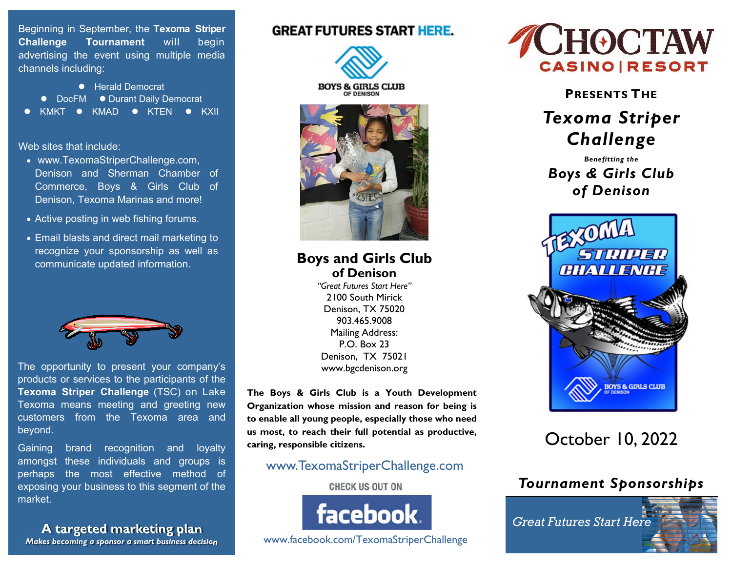Beginning in September, the **Texoma Striper Challenge Tournament** will begin advertising the event using multiple media channels including:

**•** Herald Democrat ● DocFM ● Durant Daily Democrat KMKT • KMAD • KTEN • KXII

Web sites that include:

- www.TexomaStriperChallenge.com, Denison and Sherman Chamber of Commerce, Boys & Girls Club of Denison, Texoma Marinas and more!
- Active posting in web fishing forums.
- Email blasts and direct mail marketing to recognize your sponsorship as well as communicate updated information.



The opportunity to present your company's products or services to the participants of the **Texoma Striper Challenge** (TSC) on Lake Texoma means meeting and greeting new customers from the Texoma area and beyond.

Gaining brand recognition and loyalty amongst these individuals and groups is perhaps the most effective method of exposing your business to this segment of the market.

**A targeted marketing plan** *Makes becoming a sponsor a smart business decision*

### **GREAT FUTURES START HERE.**





**Boys and Girls Club of Denison** 

*"Great Futures Start Here"* 2100 South Mirick Denison, TX 75020 903.465.9008 Mailing Address: P.O. Box 23 Denison, TX 75021 www.bgcdenison.org

**The Boys & Girls Club is a Youth Development Organization whose mission and reason for being is to enable all young people, especially those who need us most, to reach their full potential as productive, caring, responsible citizens.** 

### www.TexomaStriperChallenge.com

#### **CHECK US OUT ON**



www.facebook.com/TexomaStriperChallenge



**PRESENTS THE**

# *Texoma Striper Challenge*

*Benefitting the Boys & Girls Club of Denison*



# October 10, 2022

# *Tournament Sponsorships*